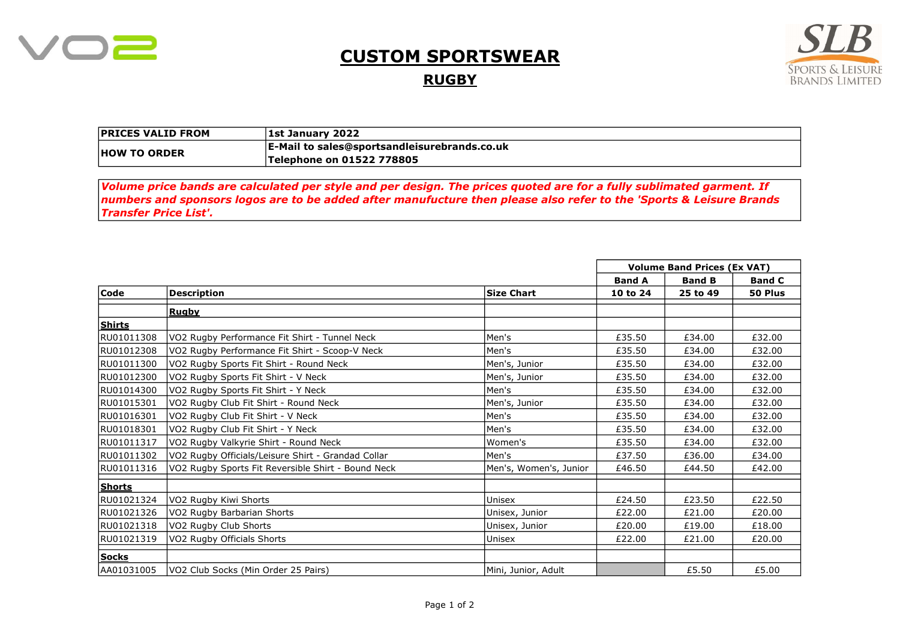

## CUSTOM SPORTSWEAR

**RUGBY** 



| <b>PRICES VALID FROM</b> | <b>1st January 2022</b>                                                 |
|--------------------------|-------------------------------------------------------------------------|
| <b>HOW TO ORDER</b>      | $\mathsf{E}\text{-}\mathsf{Mail}$ to sales@sportsandleisurebrands.co.uk |
|                          | Telephone on 01522 778805                                               |

Volume price bands are calculated per style and per design. The prices quoted are for a fully sublimated garment. If numbers and sponsors logos are to be added after manufucture then please also refer to the 'Sports & Leisure Brands Transfer Price List'.

|               |                                                    |                        | <b>Volume Band Prices (Ex VAT)</b> |               |               |
|---------------|----------------------------------------------------|------------------------|------------------------------------|---------------|---------------|
|               |                                                    |                        | <b>Band A</b>                      | <b>Band B</b> | <b>Band C</b> |
| Code          | <b>Description</b>                                 | <b>Size Chart</b>      | 10 to 24                           | 25 to 49      | 50 Plus       |
|               | <b>Rugby</b>                                       |                        |                                    |               |               |
| Shirts        |                                                    |                        |                                    |               |               |
| RU01011308    | VO2 Rugby Performance Fit Shirt - Tunnel Neck      | Men's                  | £35.50                             | £34.00        | £32.00        |
| RU01012308    | VO2 Rugby Performance Fit Shirt - Scoop-V Neck     | Men's                  | £35.50                             | £34.00        | £32.00        |
| RU01011300    | VO2 Rugby Sports Fit Shirt - Round Neck            | Men's, Junior          | £35.50                             | £34.00        | £32.00        |
| RU01012300    | VO2 Rugby Sports Fit Shirt - V Neck                | Men's, Junior          | £35.50                             | £34.00        | £32.00        |
| RU01014300    | VO2 Rugby Sports Fit Shirt - Y Neck                | Men's                  | £35.50                             | £34.00        | £32.00        |
| RU01015301    | VO2 Rugby Club Fit Shirt - Round Neck              | Men's, Junior          | £35.50                             | £34.00        | £32.00        |
| RU01016301    | VO2 Rugby Club Fit Shirt - V Neck                  | Men's                  | £35.50                             | £34.00        | £32.00        |
| RU01018301    | VO2 Rugby Club Fit Shirt - Y Neck                  | Men's                  | £35.50                             | £34.00        | £32.00        |
| RU01011317    | VO2 Rugby Valkyrie Shirt - Round Neck              | Women's                | £35.50                             | £34.00        | £32.00        |
| RU01011302    | VO2 Rugby Officials/Leisure Shirt - Grandad Collar | Men's                  | £37.50                             | £36.00        | £34.00        |
| RU01011316    | VO2 Rugby Sports Fit Reversible Shirt - Bound Neck | Men's, Women's, Junior | £46.50                             | £44.50        | £42.00        |
| <b>Shorts</b> |                                                    |                        |                                    |               |               |
| RU01021324    | VO2 Rugby Kiwi Shorts                              | Unisex                 | £24.50                             | £23.50        | £22.50        |
| RU01021326    | VO2 Rugby Barbarian Shorts                         | Unisex, Junior         | £22.00                             | £21.00        | £20.00        |
| RU01021318    | VO2 Rugby Club Shorts                              | Unisex, Junior         | £20.00                             | £19.00        | £18.00        |
| RU01021319    | VO2 Rugby Officials Shorts                         | Unisex                 | £22.00                             | £21.00        | £20.00        |
| <b>Socks</b>  |                                                    |                        |                                    |               |               |
| AA01031005    | VO2 Club Socks (Min Order 25 Pairs)                | Mini, Junior, Adult    |                                    | £5.50         | £5.00         |